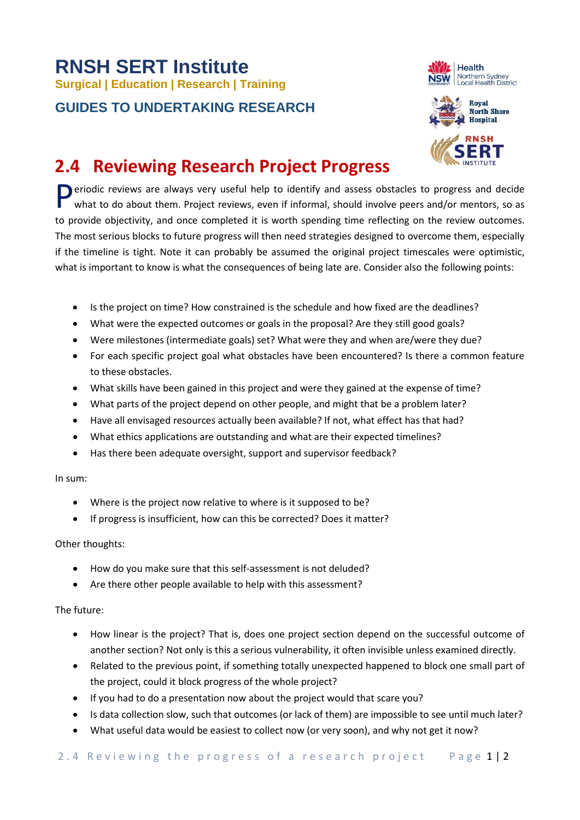# **RNSH SERT Institute Surgical | Education | Research | Training**

### **GUIDES TO UNDERTAKING RESEARCH**





## **2.4 Reviewing Research Project Progress**

Periodic reviews are always very useful help to identify and assess obstacles to progress and decide<br>what to do about them. Project reviews, even if informal, should involve peers and/or mentors, so as what to do about them. Project reviews, even if informal, should involve peers and/or mentors, so as to provide objectivity, and once completed it is worth spending time reflecting on the review outcomes. The most serious blocks to future progress will then need strategies designed to overcome them, especially if the timeline is tight. Note it can probably be assumed the original project timescales were optimistic, what is important to know is what the consequences of being late are. Consider also the following points:

- Is the project on time? How constrained is the schedule and how fixed are the deadlines?
- What were the expected outcomes or goals in the proposal? Are they still good goals?
- Were milestones (intermediate goals) set? What were they and when are/were they due?
- For each specific project goal what obstacles have been encountered? Is there a common feature to these obstacles.
- What skills have been gained in this project and were they gained at the expense of time?
- What parts of the project depend on other people, and might that be a problem later?
- Have all envisaged resources actually been available? If not, what effect has that had?
- What ethics applications are outstanding and what are their expected timelines?
- Has there been adequate oversight, support and supervisor feedback?

#### In sum:

- Where is the project now relative to where is it supposed to be?
- If progress is insufficient, how can this be corrected? Does it matter?

#### Other thoughts:

- How do you make sure that this self-assessment is not deluded?
- Are there other people available to help with this assessment?

#### The future:

- How linear is the project? That is, does one project section depend on the successful outcome of another section? Not only is this a serious vulnerability, it often invisible unless examined directly.
- Related to the previous point, if something totally unexpected happened to block one small part of the project, could it block progress of the whole project?
- If you had to do a presentation now about the project would that scare you?
- Is data collection slow, such that outcomes (or lack of them) are impossible to see until much later?
- What useful data would be easiest to collect now (or very soon), and why not get it now?